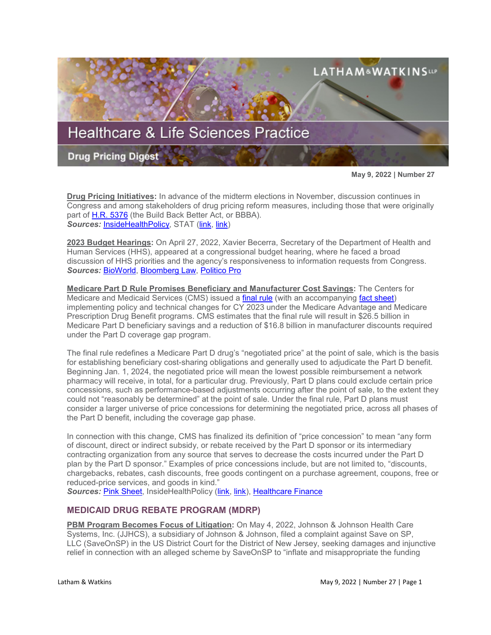

**May 9, 2022 | Number 27**

**Drug Pricing Initiatives:** In advance of the midterm elections in November, discussion continues in Congress and among stakeholders of drug pricing reform measures, including those that were originally part of [H.R. 5376](https://www.sites.lwcommunicate.com/e/rsuy4ryabtyriig/f831d9cf-6927-4352-a6f9-2b8f768792b1) (the Build Back Better Act, or BBBA). *Sources:* [InsideHealthPolicy,](https://insidehealthpolicy.com/daily-news/manchin-no-health-reforms-without-tax-hikes-tax-talks-underway) STAT [\(link,](https://www.statnews.com/2022/04/26/manchin-wont-support-new-health-policy-unless-congress-rolls-back-trump-tax-cuts/?utm_campaign=rss&_hsmi=211212142&_hsenc=p2ANqtz--kOGBFqSzVjXyyA9Et3Y9Stgih52782qqzgw0-_VKLE6RHABIICmwVFK2YbQ8Vnm2IlPkzQQfLo_Zz04trLOxcQ6EkNw) [link\)](https://www.statnews.com/2022/04/29/would-drugmakers-lower-their-insulin-prices-if-congress-asks-nicely/?utm_campaign=pharmalittle&utm_medium=email&_hsmi=211541405&_hsenc=p2ANqtz-_lMJQjvocsS2zZ-5bw_I-09JO8H0Nc_2fT7rnh2PCROGB3lV3lNDk7kdwozZU9j24RbHcTzvbr3dR1sU-qiyOir_mR9w&utm_content=211541405&utm_source=hs_email)

**2023 Budget Hearings:** On April 27, 2022, Xavier Becerra, Secretary of the Department of Health and Human Services (HHS), appeared at a congressional budget hearing, where he faced a broad discussion of HHS priorities and the agency's responsiveness to information requests from Congress. *Sources:* [BioWorld,](https://www.bioworld.com/articles/518300-becerra-on-the-hot-seat-in-us-house-budget-hearing) [Bloomberg Law,](https://www.bloomberglaw.com/bloomberglawnews/exp/eyJjdHh0IjoiSExOVyIsImlkIjoiMDAwMDAxODAtNzExOS1kZDA1LWFiZDctNzExYjhlYTgwMDAxIiwic2lnIjoiSGtQck42ZnhqejJ6bVlvd21Bd0oxVUQ5MlhBPSIsInRpbWUiOiIxNjUxMjI5NzEwIiwidXVpZCI6Ik11MEtJNFVaZmZ0KzVmL1BmMXNTamc9PW5reXdkeWV6akVDMGxkNHlkRTFrR0E9PSIsInYiOiIxIn0=?bwid=00000180-7119-dd05-abd7-711b8ea80001&cti=LFVL&emc=bhlnw_nl%3A4&et=NEWSLETTER&isAlert=false&item=read-text&qid=7285166®ion=digest&source=newsletter&uc=1320011525&udvType=Alert&usertype=External) [Politico Pro](https://subscriber.politicopro.com/article/2022/04/gop-lawmakers-accuse-hhs-of-politicized-budget-in-hearing-00028278?source=email) 

**Medicare Part D Rule Promises Beneficiary and Manufacturer Cost Savings:** The Centers for Medicare and Medicaid Services (CMS) issued a [final rule](https://www.federalregister.gov/public-inspection/2022-09375/medicare-program-contract-year-2023-policy-and-technical-changes-to-the-medicare-advantage-and) (with an accompanying [fact sheet\)](https://www.cms.gov/newsroom/fact-sheets/cy-2023-medicare-advantage-and-part-d-final-rule-cms-4192-f) implementing policy and technical changes for CY 2023 under the Medicare Advantage and Medicare Prescription Drug Benefit programs. CMS estimates that the final rule will result in \$26.5 billion in Medicare Part D beneficiary savings and a reduction of \$16.8 billion in manufacturer discounts required under the Part D coverage gap program.

The final rule redefines a Medicare Part D drug's "negotiated price" at the point of sale, which is the basis for establishing beneficiary cost-sharing obligations and generally used to adjudicate the Part D benefit. Beginning Jan. 1, 2024, the negotiated price will mean the lowest possible reimbursement a network pharmacy will receive, in total, for a particular drug. Previously, Part D plans could exclude certain price concessions, such as performance-based adjustments occurring after the point of sale, to the extent they could not "reasonably be determined" at the point of sale. Under the final rule, Part D plans must consider a larger universe of price concessions for determining the negotiated price, across all phases of the Part D benefit, including the coverage gap phase.

In connection with this change, CMS has finalized its definition of "price concession" to mean "any form of discount, direct or indirect subsidy, or rebate received by the Part D sponsor or its intermediary contracting organization from any source that serves to decrease the costs incurred under the Part D plan by the Part D sponsor." Examples of price concessions include, but are not limited to, "discounts, chargebacks, rebates, cash discounts, free goods contingent on a purchase agreement, coupons, free or reduced-price services, and goods in kind."

**Sources: [Pink Sheet,](https://pink.pharmaintelligence.informa.com/PS146126/Medicare-Part-D-Cost-Sharing-Rule-Will-Save-Manufacturers-Nearly-$17bn?utm_medium=email&utm_source=sfmc&utm_campaign=Pink+Sheet+My+View+Email&utm_id=4312299&sfmc_id=197037759) InsideHealthPolicy [\(link,](https://insidehealthpolicy.com/daily-news/cms-finalizes-duals-star-ratings-policies-2023-ma-and-part-d-rule) [link\)](https://insidehealthpolicy.com/daily-news/cms-part-d-rule-delays-applying-pharmacy-dir-prices-until-2024), Healthcare Finance** 

# **MEDICAID DRUG REBATE PROGRAM (MDRP)**

**PBM Program Becomes Focus of Litigation:** On May 4, 2022, Johnson & Johnson Health Care Systems, Inc. (JJHCS), a subsidiary of Johnson & Johnson, filed a complaint against Save on SP, LLC (SaveOnSP) in the US District Court for the District of New Jersey, seeking damages and injunctive relief in connection with an alleged scheme by SaveOnSP to "inflate and misappropriate the funding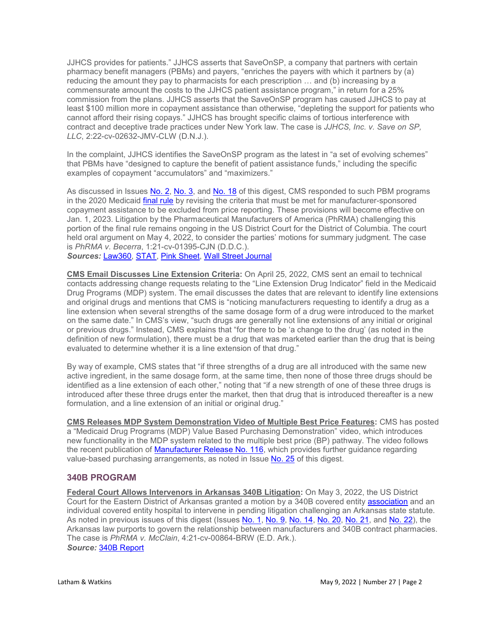JJHCS provides for patients." JJHCS asserts that SaveOnSP, a company that partners with certain pharmacy benefit managers (PBMs) and payers, "enriches the payers with which it partners by (a) reducing the amount they pay to pharmacists for each prescription … and (b) increasing by a commensurate amount the costs to the JJHCS patient assistance program," in return for a 25% commission from the plans. JJHCS asserts that the SaveOnSP program has caused JJHCS to pay at least \$100 million more in copayment assistance than otherwise, "depleting the support for patients who cannot afford their rising copays." JJHCS has brought specific claims of tortious interference with contract and deceptive trade practices under New York law. The case is *JJHCS, Inc. v. Save on SP, LLC*, 2:22-cv-02632-JMV-CLW (D.N.J.).

In the complaint, JJHCS identifies the SaveOnSP program as the latest in "a set of evolving schemes" that PBMs have "designed to capture the benefit of patient assistance funds," including the specific examples of copayment "accumulators" and "maximizers."

As discussed in Issues [No. 2,](https://www.lw.com/thoughtLeadership/healthcare-life-sciences-drug-pricing-digest-number-2) [No. 3,](https://www.lw.com/thoughtLeadership/healthcare-life-sciences-drug-pricing-digest-number-3) and [No. 18](https://www.lw.com/thoughtLeadership/healthcare-life-sciences-drug-pricing-digest-number-18) of this digest, CMS responded to such PBM programs in the 2020 Medicaid [final rule](https://www.govinfo.gov/content/pkg/FR-2020-12-31/pdf/2020-28567.pdf) by revising the criteria that must be met for manufacturer-sponsored copayment assistance to be excluded from price reporting. These provisions will become effective on Jan. 1, 2023. Litigation by the Pharmaceutical Manufacturers of America (PhRMA) challenging this portion of the final rule remains ongoing in the US District Court for the District of Columbia. The court held oral argument on May 4, 2022, to consider the parties' motions for summary judgment. The case is *PhRMA v. Becerra*, 1:21-cv-01395-CJN (D.D.C.).

*Sources:* [Law360,](https://www.law360.com/lifesciences/articles/1490365/j-j-says-benefit-co-bilked-millions-from-patient-drug-fund?nl_pk=a57127cb-9729-4523-b556-509f21a7970b&utm_source=newsletter&utm_medium=email&utm_campaign=lifesciences&utm_content=2022-05-05) [STAT,](https://www.statnews.com/pharmalot/2022/05/04/jnj-patient-assistance-copay-saveonsp-express-scripts/?utm_campaign=pharmalittle&utm_medium=email&_hsmi=212142554&_hsenc=p2ANqtz-9qUw2loYJheqdVJFl4nzpAAA0HIfMnL5QSwj9ONIAPHmUAbBRidptg4LWvN-RCBJmzYGfaymhqdsgi4lp-if6Yn63dmQ&utm_content=212142554&utm_source=hs_email) [Pink Sheet,](https://pink.pharmaintelligence.informa.com/PS146135/A-Case-For-Transparency-JJ-Suit-Targets-Opaque-PBM-Affiliates-Efforts-To-Exploit-Copay-Programs?utm_medium=email&utm_source=sfmc&utm_campaign=Pink+Sheet+My+View+Email&utm_id=4313295&sfmc_id=197037759) [Wall Street Journal](https://www.wsj.com/articles/j-j-sues-drug-benefit-middleman-over-use-of-drug-cost-assistance-program-11651698029)

**CMS Email Discusses Line Extension Criteria:** On April 25, 2022, CMS sent an email to technical contacts addressing change requests relating to the "Line Extension Drug Indicator" field in the Medicaid Drug Programs (MDP) system. The email discusses the dates that are relevant to identify line extensions and original drugs and mentions that CMS is "noticing manufacturers requesting to identify a drug as a line extension when several strengths of the same dosage form of a drug were introduced to the market on the same date." In CMS's view, "such drugs are generally not line extensions of any initial or original or previous drugs." Instead, CMS explains that "for there to be 'a change to the drug' (as noted in the definition of new formulation), there must be a drug that was marketed earlier than the drug that is being evaluated to determine whether it is a line extension of that drug."

By way of example, CMS states that "if three strengths of a drug are all introduced with the same new active ingredient, in the same dosage form, at the same time, then none of those three drugs should be identified as a line extension of each other," noting that "if a new strength of one of these three drugs is introduced after these three drugs enter the market, then that drug that is introduced thereafter is a new formulation, and a line extension of an initial or original drug."

**CMS Releases MDP System Demonstration Video of Multiple Best Price Features:** CMS has posted a "Medicaid Drug Programs (MDP) Value Based Purchasing Demonstration" video, which introduces new functionality in the MDP system related to the multiple best price (BP) pathway. The video follows the recent publication of **Manufacturer Release No. 116**, which provides further guidance regarding value-based purchasing arrangements, as noted in Issue [No. 25](https://www.lw.com/thoughtLeadership/healthcare-life-sciences-drug-pricing-digest-number-25) of this digest.

# **340B PROGRAM**

**Federal Court Allows Intervenors in Arkansas 340B Litigation:** On May 3, 2022, the US District Court for the Eastern District of Arkansas granted a motion by a 340B covered entity [association](http://www.chc-ar.org/) and an individual covered entity hospital to intervene in pending litigation challenging an Arkansas state statute. As noted in previous issues of this digest (Issues [No. 1,](https://www.lw.com/thoughtLeadership/healthcare-life-sciences-drug-pricing-digest-number-1) [No. 9,](https://www.lw.com/thoughtLeadership/healthcare-life-sciences-drug-pricing-digest-number-9) [No. 14,](https://www.lw.com/thoughtLeadership/healthcare-life-sciences-drug-pricing-digest-number-14) [No. 20,](https://www.lw.com/thoughtLeadership/healthcare-life-sciences-drug-pricing-digest-number-20) [No. 21,](https://www.lw.com/thoughtLeadership/healthcare-life-sciences-drug-pricing-digest-number-21) and [No. 22\)](https://www.lw.com/thoughtLeadership/healthcare-life-sciences-drug-pricing-digest-number-22), the Arkansas law purports to govern the relationship between manufacturers and 340B contract pharmacies. The case is *PhRMA v. McClain*, 4:21-cv-00864-BRW (E.D. Ark.). *Source:* [340B Report](https://340breport.com/fed-judge-lets-340b-providers-intervene-in-closely-watched-contract-pharmacy-lawsuit/)